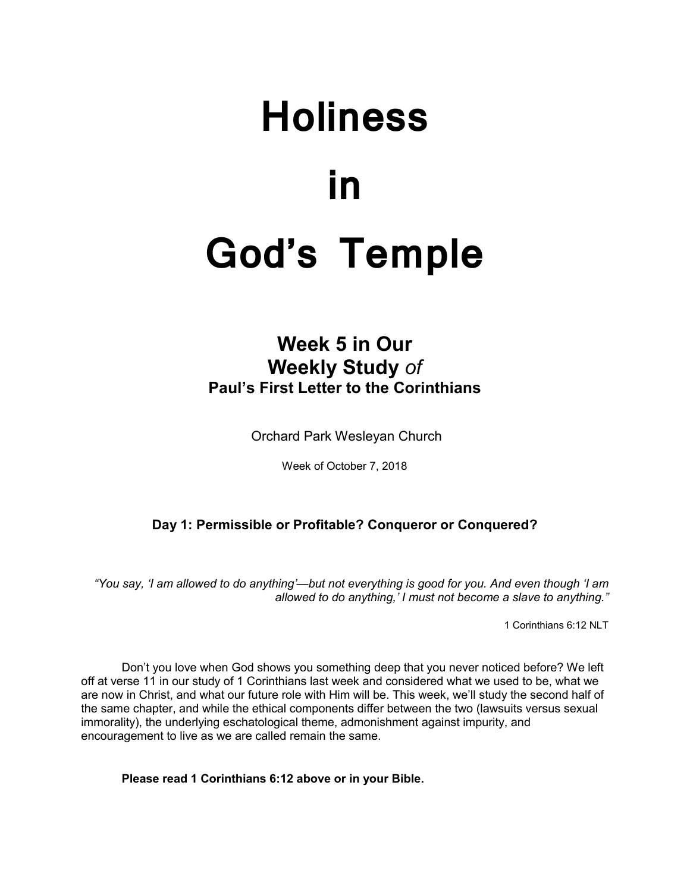# **Holiness in God's Temple**

# **Week 5 in Our Weekly Study** *of* **Paul's First Letter to the Corinthians**

Orchard Park Wesleyan Church

Week of October 7, 2018

# **Day 1: Permissible or Profitable? Conqueror or Conquered?**

*"You say, 'I am allowed to do anything'—but not everything is good for you. And even though 'I am allowed to do anything,' I must not become a slave to anything."*

1 Corinthians 6:12 NLT

 Don't you love when God shows you something deep that you never noticed before? We left off at verse 11 in our study of 1 Corinthians last week and considered what we used to be, what we are now in Christ, and what our future role with Him will be. This week, we'll study the second half of the same chapter, and while the ethical components differ between the two (lawsuits versus sexual immorality), the underlying eschatological theme, admonishment against impurity, and encouragement to live as we are called remain the same.

**Please read 1 Corinthians 6:12 above or in your Bible.**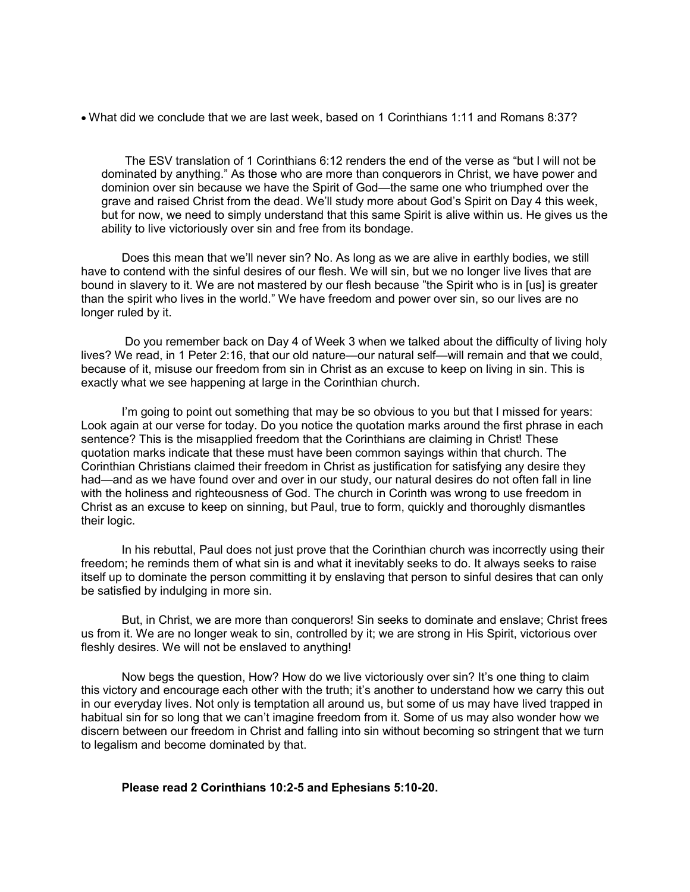• What did we conclude that we are last week, based on 1 Corinthians 1:11 and Romans 8:37?

 The ESV translation of 1 Corinthians 6:12 renders the end of the verse as "but I will not be dominated by anything." As those who are more than conquerors in Christ, we have power and dominion over sin because we have the Spirit of God—the same one who triumphed over the grave and raised Christ from the dead. We'll study more about God's Spirit on Day 4 this week, but for now, we need to simply understand that this same Spirit is alive within us. He gives us the ability to live victoriously over sin and free from its bondage.

Does this mean that we'll never sin? No. As long as we are alive in earthly bodies, we still have to contend with the sinful desires of our flesh. We will sin, but we no longer live lives that are bound in slavery to it. We are not mastered by our flesh because "the Spirit who is in [us] is greater than the spirit who lives in the world." We have freedom and power over sin, so our lives are no longer ruled by it.

 Do you remember back on Day 4 of Week 3 when we talked about the difficulty of living holy lives? We read, in 1 Peter 2:16, that our old nature—our natural self—will remain and that we could, because of it, misuse our freedom from sin in Christ as an excuse to keep on living in sin. This is exactly what we see happening at large in the Corinthian church.

 I'm going to point out something that may be so obvious to you but that I missed for years: Look again at our verse for today. Do you notice the quotation marks around the first phrase in each sentence? This is the misapplied freedom that the Corinthians are claiming in Christ! These quotation marks indicate that these must have been common sayings within that church. The Corinthian Christians claimed their freedom in Christ as justification for satisfying any desire they had—and as we have found over and over in our study, our natural desires do not often fall in line with the holiness and righteousness of God. The church in Corinth was wrong to use freedom in Christ as an excuse to keep on sinning, but Paul, true to form, quickly and thoroughly dismantles their logic.

In his rebuttal, Paul does not just prove that the Corinthian church was incorrectly using their freedom; he reminds them of what sin is and what it inevitably seeks to do. It always seeks to raise itself up to dominate the person committing it by enslaving that person to sinful desires that can only be satisfied by indulging in more sin.

 But, in Christ, we are more than conquerors! Sin seeks to dominate and enslave; Christ frees us from it. We are no longer weak to sin, controlled by it; we are strong in His Spirit, victorious over fleshly desires. We will not be enslaved to anything!

 Now begs the question, How? How do we live victoriously over sin? It's one thing to claim this victory and encourage each other with the truth; it's another to understand how we carry this out in our everyday lives. Not only is temptation all around us, but some of us may have lived trapped in habitual sin for so long that we can't imagine freedom from it. Some of us may also wonder how we discern between our freedom in Christ and falling into sin without becoming so stringent that we turn to legalism and become dominated by that.

#### **Please read 2 Corinthians 10:2-5 and Ephesians 5:10-20.**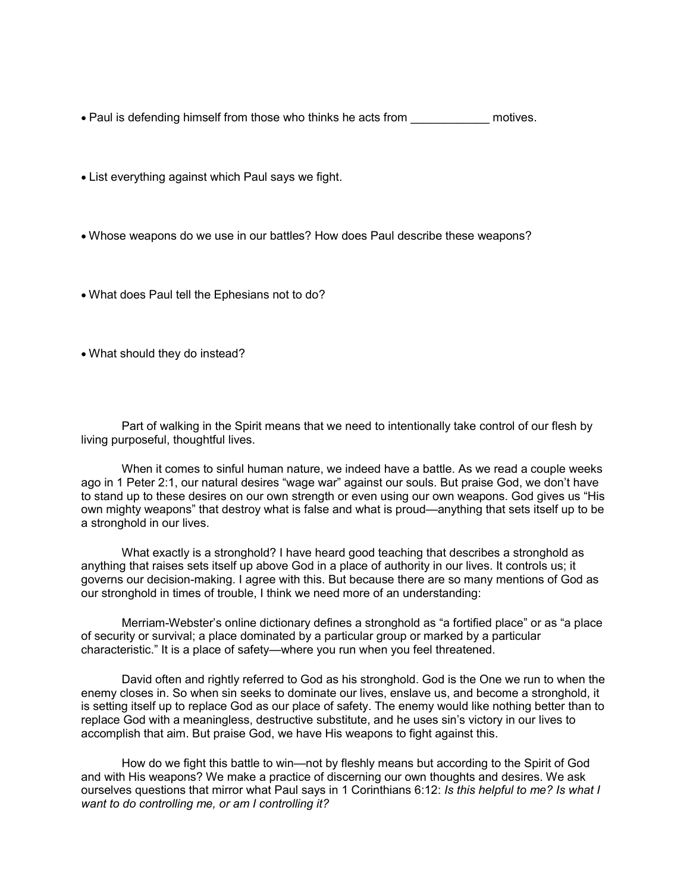• Paul is defending himself from those who thinks he acts from **promotives**.

- List everything against which Paul says we fight.
- Whose weapons do we use in our battles? How does Paul describe these weapons?
- What does Paul tell the Ephesians not to do?
- What should they do instead?

Part of walking in the Spirit means that we need to intentionally take control of our flesh by living purposeful, thoughtful lives.

When it comes to sinful human nature, we indeed have a battle. As we read a couple weeks ago in 1 Peter 2:1, our natural desires "wage war" against our souls. But praise God, we don't have to stand up to these desires on our own strength or even using our own weapons. God gives us "His own mighty weapons" that destroy what is false and what is proud—anything that sets itself up to be a stronghold in our lives.

What exactly is a stronghold? I have heard good teaching that describes a stronghold as anything that raises sets itself up above God in a place of authority in our lives. It controls us; it governs our decision-making. I agree with this. But because there are so many mentions of God as our stronghold in times of trouble, I think we need more of an understanding:

Merriam-Webster's online dictionary defines a stronghold as "a fortified place" or as "a place of security or survival; a place dominated by a particular group or marked by a particular characteristic." It is a place of safety—where you run when you feel threatened.

David often and rightly referred to God as his stronghold. God is the One we run to when the enemy closes in. So when sin seeks to dominate our lives, enslave us, and become a stronghold, it is setting itself up to replace God as our place of safety. The enemy would like nothing better than to replace God with a meaningless, destructive substitute, and he uses sin's victory in our lives to accomplish that aim. But praise God, we have His weapons to fight against this.

How do we fight this battle to win—not by fleshly means but according to the Spirit of God and with His weapons? We make a practice of discerning our own thoughts and desires. We ask ourselves questions that mirror what Paul says in 1 Corinthians 6:12: *Is this helpful to me? Is what I want to do controlling me, or am I controlling it?*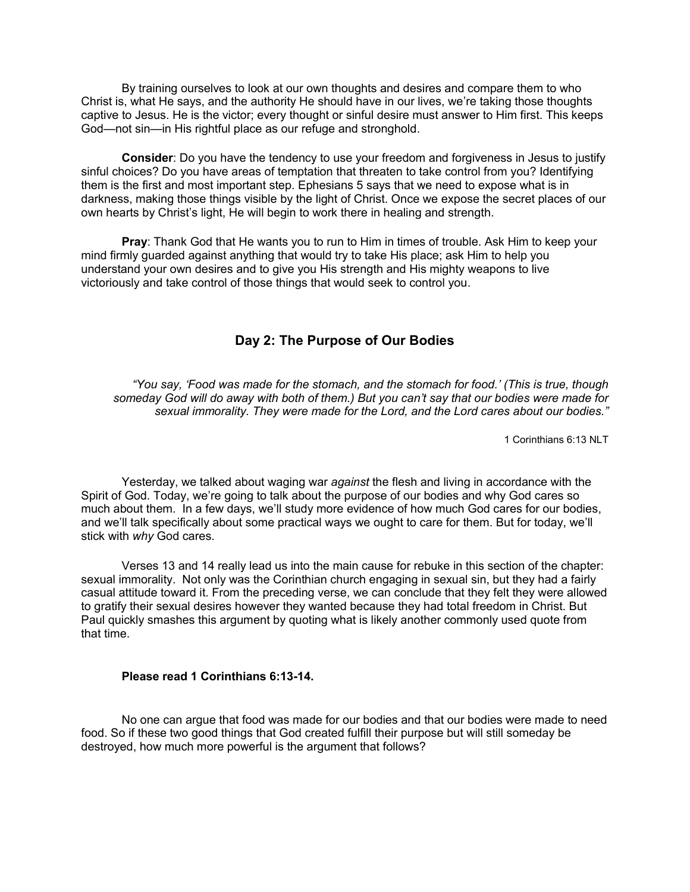By training ourselves to look at our own thoughts and desires and compare them to who Christ is, what He says, and the authority He should have in our lives, we're taking those thoughts captive to Jesus. He is the victor; every thought or sinful desire must answer to Him first. This keeps God—not sin—in His rightful place as our refuge and stronghold.

 **Consider**: Do you have the tendency to use your freedom and forgiveness in Jesus to justify sinful choices? Do you have areas of temptation that threaten to take control from you? Identifying them is the first and most important step. Ephesians 5 says that we need to expose what is in darkness, making those things visible by the light of Christ. Once we expose the secret places of our own hearts by Christ's light, He will begin to work there in healing and strength.

**Pray**: Thank God that He wants you to run to Him in times of trouble. Ask Him to keep your mind firmly guarded against anything that would try to take His place; ask Him to help you understand your own desires and to give you His strength and His mighty weapons to live victoriously and take control of those things that would seek to control you.

# **Day 2: The Purpose of Our Bodies**

*"You say, 'Food was made for the stomach, and the stomach for food.' (This is true, though someday God will do away with both of them.) But you can't say that our bodies were made for sexual immorality. They were made for the Lord, and the Lord cares about our bodies."*

1 Corinthians 6:13 NLT

Yesterday, we talked about waging war *against* the flesh and living in accordance with the Spirit of God. Today, we're going to talk about the purpose of our bodies and why God cares so much about them. In a few days, we'll study more evidence of how much God cares for our bodies, and we'll talk specifically about some practical ways we ought to care for them. But for today, we'll stick with *why* God cares.

 Verses 13 and 14 really lead us into the main cause for rebuke in this section of the chapter: sexual immorality. Not only was the Corinthian church engaging in sexual sin, but they had a fairly casual attitude toward it. From the preceding verse, we can conclude that they felt they were allowed to gratify their sexual desires however they wanted because they had total freedom in Christ. But Paul quickly smashes this argument by quoting what is likely another commonly used quote from that time.

#### **Please read 1 Corinthians 6:13-14.**

No one can argue that food was made for our bodies and that our bodies were made to need food. So if these two good things that God created fulfill their purpose but will still someday be destroyed, how much more powerful is the argument that follows?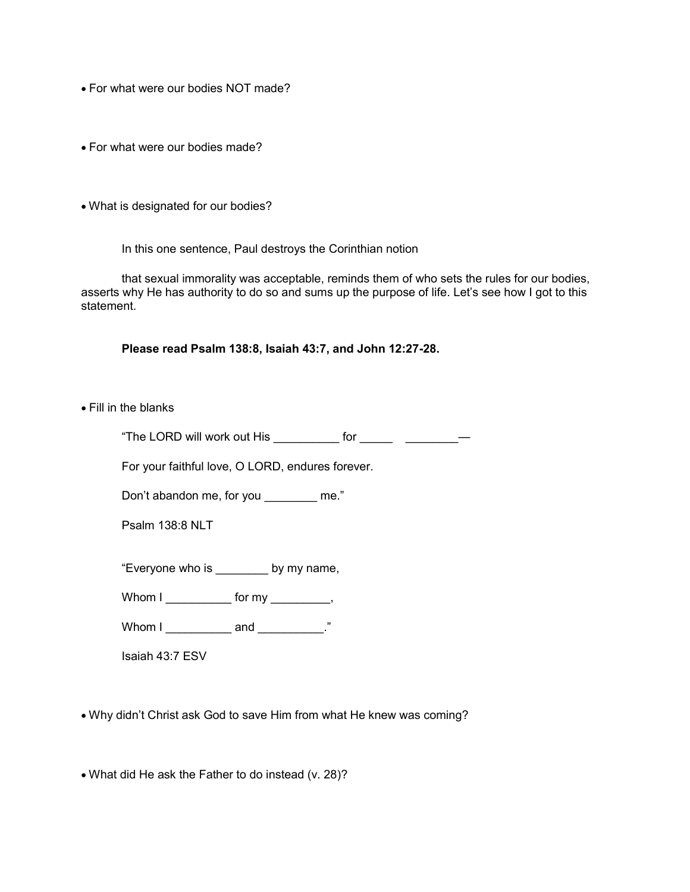- For what were our bodies NOT made?
- For what were our bodies made?
- What is designated for our bodies?

In this one sentence, Paul destroys the Corinthian notion

that sexual immorality was acceptable, reminds them of who sets the rules for our bodies, asserts why He has authority to do so and sums up the purpose of life. Let's see how I got to this statement.

**Please read Psalm 138:8, Isaiah 43:7, and John 12:27-28.**

• Fill in the blanks

"The LORD will work out His \_\_\_\_\_\_\_\_\_ for \_\_\_\_\_\_ \_\_\_\_\_\_\_\_\_\_

For your faithful love, O LORD, endures forever.

Don't abandon me, for you me."

Psalm 138:8 NLT

"Everyone who is \_\_\_\_\_\_\_\_ by my name,

Whom  $I$  \_\_\_\_\_\_\_\_\_\_\_\_\_ for my \_\_\_\_\_\_\_\_\_\_,

Whom I \_\_\_\_\_\_\_\_\_\_\_\_\_ and \_\_\_\_\_\_\_\_\_\_."

Isaiah 43:7 ESV

• Why didn't Christ ask God to save Him from what He knew was coming?

• What did He ask the Father to do instead (v. 28)?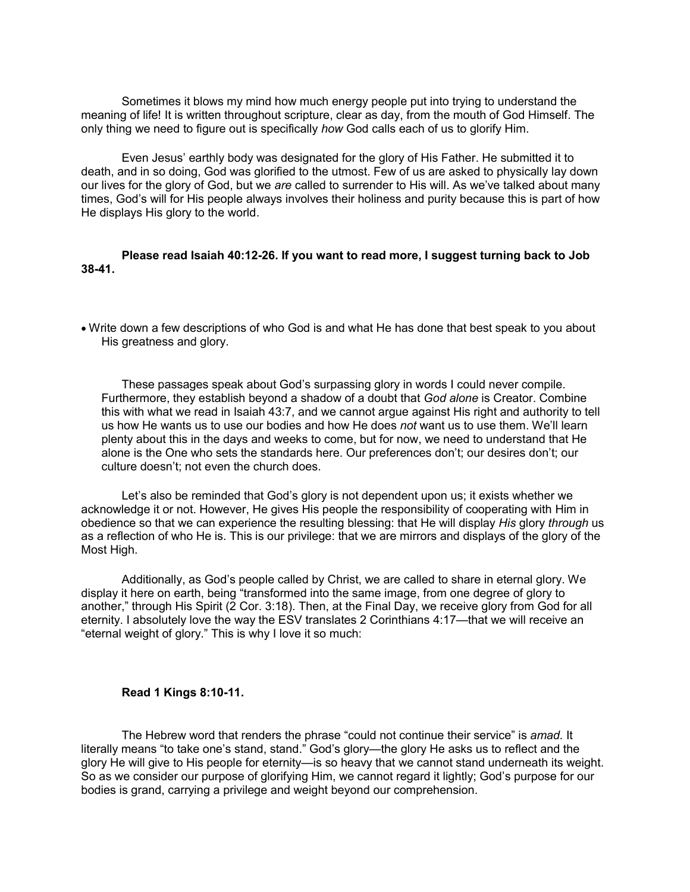Sometimes it blows my mind how much energy people put into trying to understand the meaning of life! It is written throughout scripture, clear as day, from the mouth of God Himself. The only thing we need to figure out is specifically *how* God calls each of us to glorify Him.

Even Jesus' earthly body was designated for the glory of His Father. He submitted it to death, and in so doing, God was glorified to the utmost. Few of us are asked to physically lay down our lives for the glory of God, but we *are* called to surrender to His will. As we've talked about many times, God's will for His people always involves their holiness and purity because this is part of how He displays His glory to the world.

#### **Please read Isaiah 40:12-26. If you want to read more, I suggest turning back to Job 38-41.**

• Write down a few descriptions of who God is and what He has done that best speak to you about His greatness and glory.

 These passages speak about God's surpassing glory in words I could never compile. Furthermore, they establish beyond a shadow of a doubt that *God alone* is Creator. Combine this with what we read in Isaiah 43:7, and we cannot argue against His right and authority to tell us how He wants us to use our bodies and how He does *not* want us to use them. We'll learn plenty about this in the days and weeks to come, but for now, we need to understand that He alone is the One who sets the standards here. Our preferences don't; our desires don't; our culture doesn't; not even the church does.

Let's also be reminded that God's glory is not dependent upon us; it exists whether we acknowledge it or not. However, He gives His people the responsibility of cooperating with Him in obedience so that we can experience the resulting blessing: that He will display *His* glory *through* us as a reflection of who He is. This is our privilege: that we are mirrors and displays of the glory of the Most High.

Additionally, as God's people called by Christ, we are called to share in eternal glory. We display it here on earth, being "transformed into the same image, from one degree of glory to another," through His Spirit (2 Cor. 3:18). Then, at the Final Day, we receive glory from God for all eternity. I absolutely love the way the ESV translates 2 Corinthians 4:17—that we will receive an "eternal weight of glory." This is why I love it so much:

#### **Read 1 Kings 8:10-11.**

The Hebrew word that renders the phrase "could not continue their service" is *amad.* It literally means "to take one's stand, stand." God's glory—the glory He asks us to reflect and the glory He will give to His people for eternity—is so heavy that we cannot stand underneath its weight. So as we consider our purpose of glorifying Him, we cannot regard it lightly; God's purpose for our bodies is grand, carrying a privilege and weight beyond our comprehension.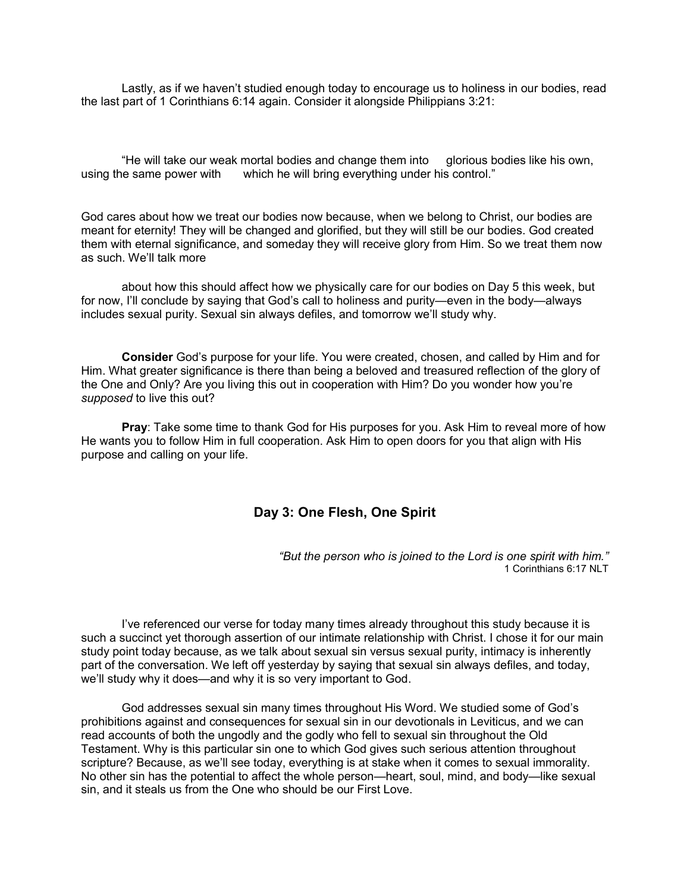Lastly, as if we haven't studied enough today to encourage us to holiness in our bodies, read the last part of 1 Corinthians 6:14 again. Consider it alongside Philippians 3:21:

"He will take our weak mortal bodies and change them into glorious bodies like his own, using the same power with which he will bring everything under his control."

God cares about how we treat our bodies now because, when we belong to Christ, our bodies are meant for eternity! They will be changed and glorified, but they will still be our bodies. God created them with eternal significance, and someday they will receive glory from Him. So we treat them now as such. We'll talk more

about how this should affect how we physically care for our bodies on Day 5 this week, but for now, I'll conclude by saying that God's call to holiness and purity—even in the body—always includes sexual purity. Sexual sin always defiles, and tomorrow we'll study why.

**Consider** God's purpose for your life. You were created, chosen, and called by Him and for Him. What greater significance is there than being a beloved and treasured reflection of the glory of the One and Only? Are you living this out in cooperation with Him? Do you wonder how you're *supposed* to live this out?

**Pray**: Take some time to thank God for His purposes for you. Ask Him to reveal more of how He wants you to follow Him in full cooperation. Ask Him to open doors for you that align with His purpose and calling on your life.

#### **Day 3: One Flesh, One Spirit**

*"But the person who is joined to the Lord is one spirit with him."* 1 Corinthians 6:17 NLT

I've referenced our verse for today many times already throughout this study because it is such a succinct yet thorough assertion of our intimate relationship with Christ. I chose it for our main study point today because, as we talk about sexual sin versus sexual purity, intimacy is inherently part of the conversation. We left off yesterday by saying that sexual sin always defiles, and today, we'll study why it does—and why it is so very important to God.

God addresses sexual sin many times throughout His Word. We studied some of God's prohibitions against and consequences for sexual sin in our devotionals in Leviticus, and we can read accounts of both the ungodly and the godly who fell to sexual sin throughout the Old Testament. Why is this particular sin one to which God gives such serious attention throughout scripture? Because, as we'll see today, everything is at stake when it comes to sexual immorality. No other sin has the potential to affect the whole person—heart, soul, mind, and body—like sexual sin, and it steals us from the One who should be our First Love.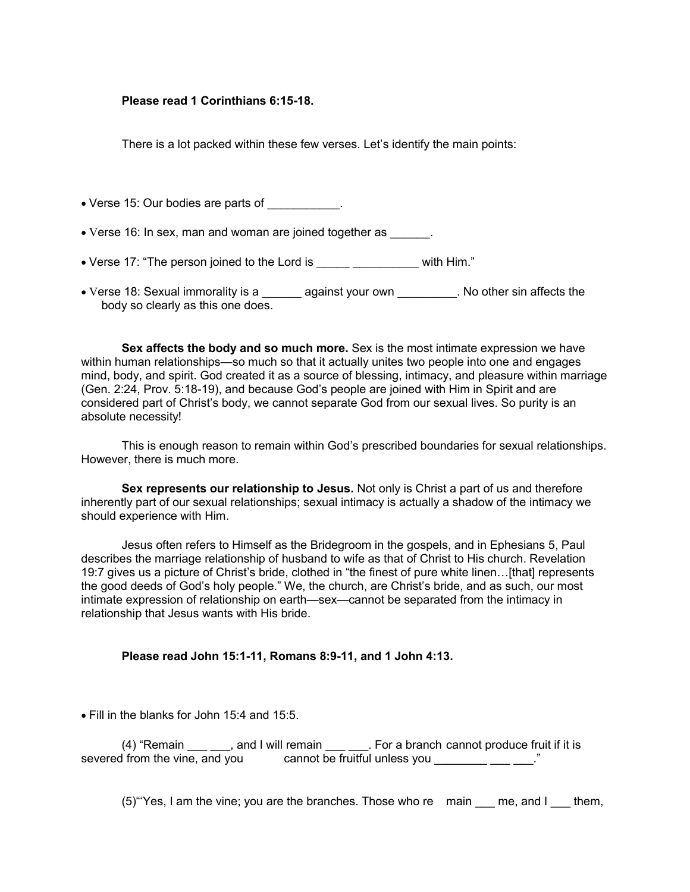#### **Please read 1 Corinthians 6:15-18.**

There is a lot packed within these few verses. Let's identify the main points:

• Verse 15: Our bodies are parts of \_\_\_\_\_\_\_\_\_\_\_.

• Verse 16: In sex, man and woman are joined together as  $\qquad \qquad$ .

• Verse 17: "The person joined to the Lord is \_\_\_\_\_ \_\_\_\_\_\_\_\_\_\_\_\_ with Him."

• Verse 18: Sexual immorality is a \_\_\_\_\_\_ against your own \_\_\_\_\_\_\_\_. No other sin affects the body so clearly as this one does.

**Sex affects the body and so much more.** Sex is the most intimate expression we have within human relationships—so much so that it actually unites two people into one and engages mind, body, and spirit. God created it as a source of blessing, intimacy, and pleasure within marriage (Gen. 2:24, Prov. 5:18-19), and because God's people are joined with Him in Spirit and are considered part of Christ's body, we cannot separate God from our sexual lives. So purity is an absolute necessity!

This is enough reason to remain within God's prescribed boundaries for sexual relationships. However, there is much more.

**Sex represents our relationship to Jesus.** Not only is Christ a part of us and therefore inherently part of our sexual relationships; sexual intimacy is actually a shadow of the intimacy we should experience with Him.

Jesus often refers to Himself as the Bridegroom in the gospels, and in Ephesians 5, Paul describes the marriage relationship of husband to wife as that of Christ to His church. Revelation 19:7 gives us a picture of Christ's bride, clothed in "the finest of pure white linen…[that] represents the good deeds of God's holy people." We, the church, are Christ's bride, and as such, our most intimate expression of relationship on earth—sex—cannot be separated from the intimacy in relationship that Jesus wants with His bride.

#### **Please read John 15:1-11, Romans 8:9-11, and 1 John 4:13.**

• Fill in the blanks for John 15:4 and 15:5.

(4) "Remain end I will remain Every a branch cannot produce fruit if it is severed from the vine, and you cannot be fruitful unless you \_\_\_\_\_\_\_\_\_\_\_\_\_\_."

 $(5)$  "Yes, I am the vine; you are the branches. Those who re  $\,$  main  $\,$  me, and I  $\,$  them,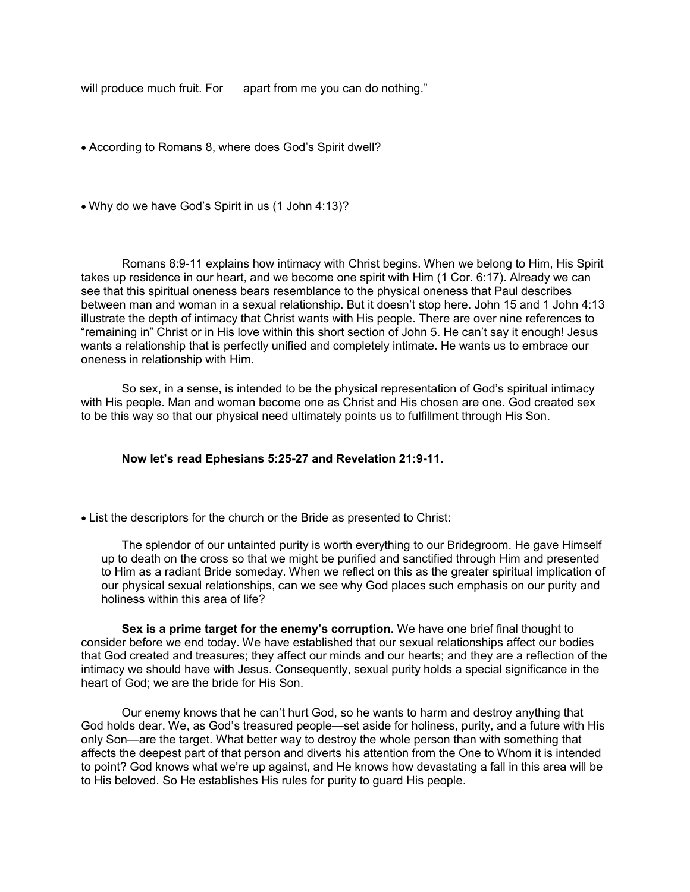will produce much fruit. For apart from me you can do nothing."

• According to Romans 8, where does God's Spirit dwell?

• Why do we have God's Spirit in us (1 John 4:13)?

Romans 8:9-11 explains how intimacy with Christ begins. When we belong to Him, His Spirit takes up residence in our heart, and we become one spirit with Him (1 Cor. 6:17). Already we can see that this spiritual oneness bears resemblance to the physical oneness that Paul describes between man and woman in a sexual relationship. But it doesn't stop here. John 15 and 1 John 4:13 illustrate the depth of intimacy that Christ wants with His people. There are over nine references to "remaining in" Christ or in His love within this short section of John 5. He can't say it enough! Jesus wants a relationship that is perfectly unified and completely intimate. He wants us to embrace our oneness in relationship with Him.

So sex, in a sense, is intended to be the physical representation of God's spiritual intimacy with His people. Man and woman become one as Christ and His chosen are one. God created sex to be this way so that our physical need ultimately points us to fulfillment through His Son.

#### **Now let's read Ephesians 5:25-27 and Revelation 21:9-11.**

• List the descriptors for the church or the Bride as presented to Christ:

The splendor of our untainted purity is worth everything to our Bridegroom. He gave Himself up to death on the cross so that we might be purified and sanctified through Him and presented to Him as a radiant Bride someday. When we reflect on this as the greater spiritual implication of our physical sexual relationships, can we see why God places such emphasis on our purity and holiness within this area of life?

**Sex is a prime target for the enemy's corruption.** We have one brief final thought to consider before we end today. We have established that our sexual relationships affect our bodies that God created and treasures; they affect our minds and our hearts; and they are a reflection of the intimacy we should have with Jesus. Consequently, sexual purity holds a special significance in the heart of God; we are the bride for His Son.

Our enemy knows that he can't hurt God, so he wants to harm and destroy anything that God holds dear. We, as God's treasured people—set aside for holiness, purity, and a future with His only Son—are the target. What better way to destroy the whole person than with something that affects the deepest part of that person and diverts his attention from the One to Whom it is intended to point? God knows what we're up against, and He knows how devastating a fall in this area will be to His beloved. So He establishes His rules for purity to guard His people.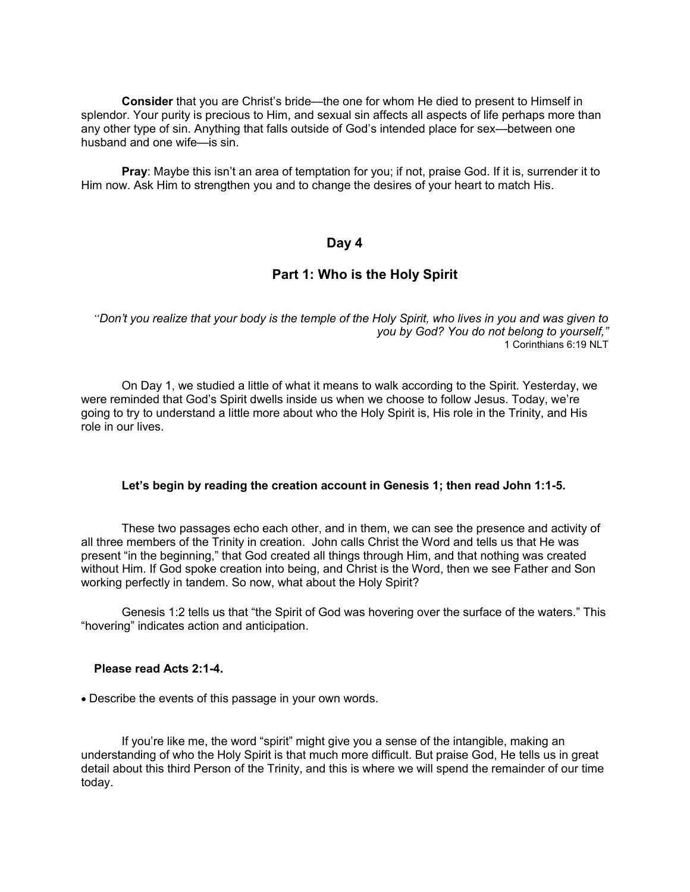**Consider** that you are Christ's bride—the one for whom He died to present to Himself in splendor. Your purity is precious to Him, and sexual sin affects all aspects of life perhaps more than any other type of sin. Anything that falls outside of God's intended place for sex—between one husband and one wife—is sin.

**Pray**: Maybe this isn't an area of temptation for you; if not, praise God. If it is, surrender it to Him now. Ask Him to strengthen you and to change the desires of your heart to match His.

#### **Day 4**

## **Part 1: Who is the Holy Spirit**

*"Don't you realize that your body is the temple of the Holy Spirit, who lives in you and was given to you by God? You do not belong to yourself,"* 1 Corinthians 6:19 NLT

On Day 1, we studied a little of what it means to walk according to the Spirit. Yesterday, we were reminded that God's Spirit dwells inside us when we choose to follow Jesus. Today, we're going to try to understand a little more about who the Holy Spirit is, His role in the Trinity, and His role in our lives.

#### **Let's begin by reading the creation account in Genesis 1; then read John 1:1-5.**

These two passages echo each other, and in them, we can see the presence and activity of all three members of the Trinity in creation. John calls Christ the Word and tells us that He was present "in the beginning," that God created all things through Him, and that nothing was created without Him. If God spoke creation into being, and Christ is the Word, then we see Father and Son working perfectly in tandem. So now, what about the Holy Spirit?

Genesis 1:2 tells us that "the Spirit of God was hovering over the surface of the waters." This "hovering" indicates action and anticipation.

#### **Please read Acts 2:1-4.**

• Describe the events of this passage in your own words.

If you're like me, the word "spirit" might give you a sense of the intangible, making an understanding of who the Holy Spirit is that much more difficult. But praise God, He tells us in great detail about this third Person of the Trinity, and this is where we will spend the remainder of our time today.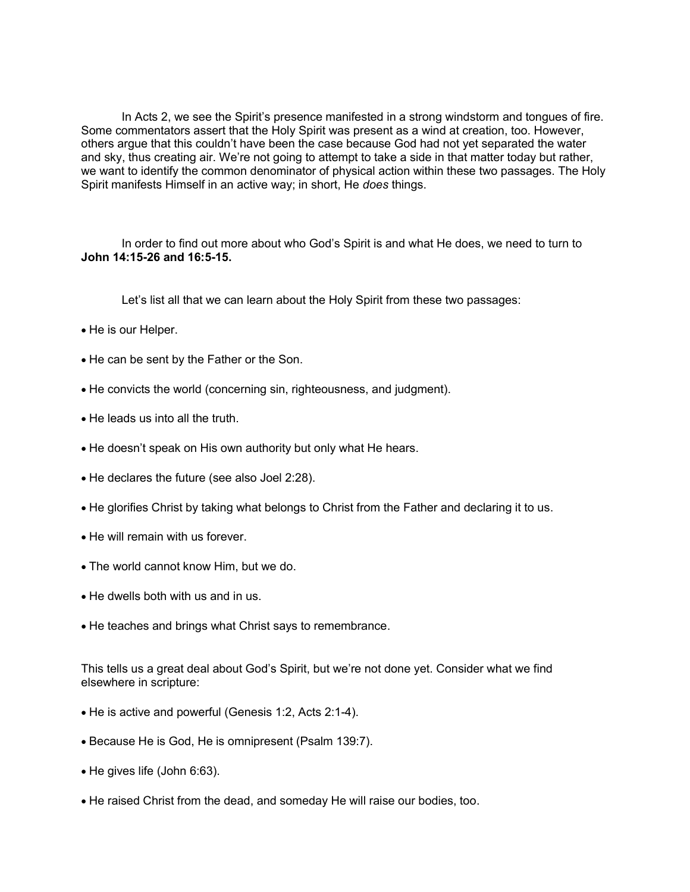In Acts 2, we see the Spirit's presence manifested in a strong windstorm and tongues of fire. Some commentators assert that the Holy Spirit was present as a wind at creation, too. However, others argue that this couldn't have been the case because God had not yet separated the water and sky, thus creating air. We're not going to attempt to take a side in that matter today but rather, we want to identify the common denominator of physical action within these two passages. The Holy Spirit manifests Himself in an active way; in short, He *does* things.

In order to find out more about who God's Spirit is and what He does, we need to turn to **John 14:15-26 and 16:5-15.**

Let's list all that we can learn about the Holy Spirit from these two passages:

- He is our Helper.
- He can be sent by the Father or the Son.
- He convicts the world (concerning sin, righteousness, and judgment).
- He leads us into all the truth.
- He doesn't speak on His own authority but only what He hears.
- He declares the future (see also Joel 2:28).
- He glorifies Christ by taking what belongs to Christ from the Father and declaring it to us.
- He will remain with us forever.
- The world cannot know Him, but we do.
- He dwells both with us and in us.
- He teaches and brings what Christ says to remembrance.

This tells us a great deal about God's Spirit, but we're not done yet. Consider what we find elsewhere in scripture:

- He is active and powerful (Genesis 1:2, Acts 2:1-4).
- Because He is God, He is omnipresent (Psalm 139:7).
- He gives life (John 6:63).
- He raised Christ from the dead, and someday He will raise our bodies, too.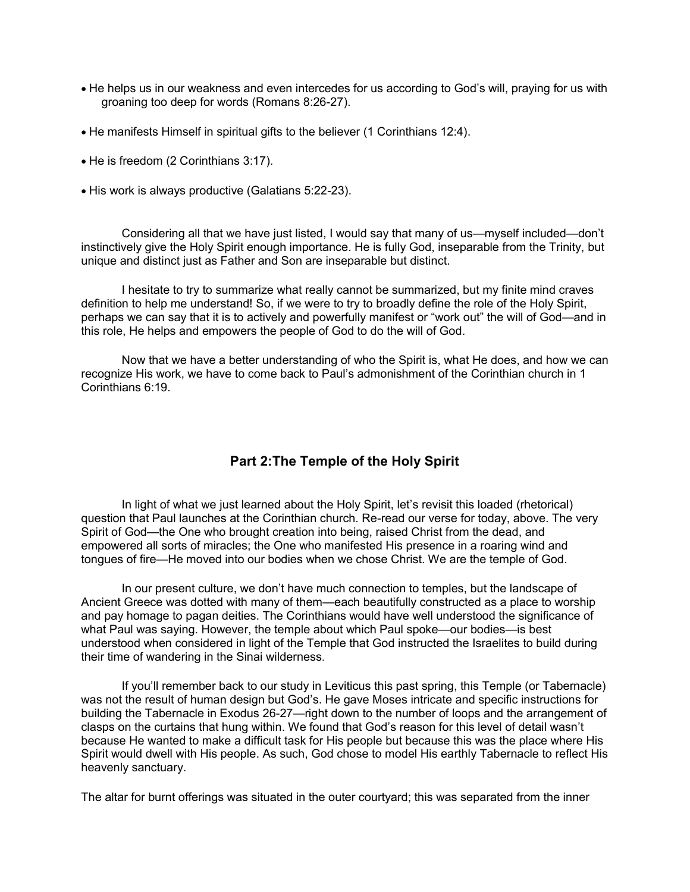- He helps us in our weakness and even intercedes for us according to God's will, praying for us with groaning too deep for words (Romans 8:26-27).
- He manifests Himself in spiritual gifts to the believer (1 Corinthians 12:4).
- He is freedom (2 Corinthians 3:17).
- His work is always productive (Galatians 5:22-23).

Considering all that we have just listed, I would say that many of us—myself included—don't instinctively give the Holy Spirit enough importance. He is fully God, inseparable from the Trinity, but unique and distinct just as Father and Son are inseparable but distinct.

I hesitate to try to summarize what really cannot be summarized, but my finite mind craves definition to help me understand! So, if we were to try to broadly define the role of the Holy Spirit, perhaps we can say that it is to actively and powerfully manifest or "work out" the will of God—and in this role, He helps and empowers the people of God to do the will of God.

Now that we have a better understanding of who the Spirit is, what He does, and how we can recognize His work, we have to come back to Paul's admonishment of the Corinthian church in 1 Corinthians 6:19.

# **Part 2:The Temple of the Holy Spirit**

In light of what we just learned about the Holy Spirit, let's revisit this loaded (rhetorical) question that Paul launches at the Corinthian church. Re-read our verse for today, above. The very Spirit of God—the One who brought creation into being, raised Christ from the dead, and empowered all sorts of miracles; the One who manifested His presence in a roaring wind and tongues of fire—He moved into our bodies when we chose Christ. We are the temple of God.

In our present culture, we don't have much connection to temples, but the landscape of Ancient Greece was dotted with many of them—each beautifully constructed as a place to worship and pay homage to pagan deities. The Corinthians would have well understood the significance of what Paul was saying. However, the temple about which Paul spoke—our bodies—is best understood when considered in light of the Temple that God instructed the Israelites to build during their time of wandering in the Sinai wilderness.

If you'll remember back to our study in Leviticus this past spring, this Temple (or Tabernacle) was not the result of human design but God's. He gave Moses intricate and specific instructions for building the Tabernacle in Exodus 26-27—right down to the number of loops and the arrangement of clasps on the curtains that hung within. We found that God's reason for this level of detail wasn't because He wanted to make a difficult task for His people but because this was the place where His Spirit would dwell with His people. As such, God chose to model His earthly Tabernacle to reflect His heavenly sanctuary.

The altar for burnt offerings was situated in the outer courtyard; this was separated from the inner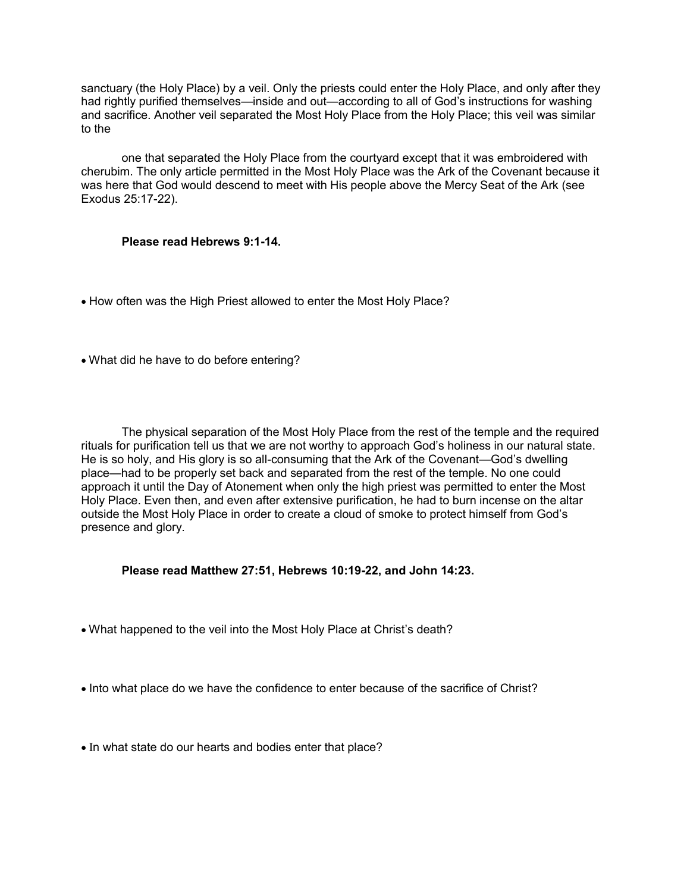sanctuary (the Holy Place) by a veil. Only the priests could enter the Holy Place, and only after they had rightly purified themselves—inside and out—according to all of God's instructions for washing and sacrifice. Another veil separated the Most Holy Place from the Holy Place; this veil was similar to the

one that separated the Holy Place from the courtyard except that it was embroidered with cherubim. The only article permitted in the Most Holy Place was the Ark of the Covenant because it was here that God would descend to meet with His people above the Mercy Seat of the Ark (see Exodus 25:17-22).

#### **Please read Hebrews 9:1-14.**

- How often was the High Priest allowed to enter the Most Holy Place?
- What did he have to do before entering?

The physical separation of the Most Holy Place from the rest of the temple and the required rituals for purification tell us that we are not worthy to approach God's holiness in our natural state. He is so holy, and His glory is so all-consuming that the Ark of the Covenant—God's dwelling place—had to be properly set back and separated from the rest of the temple. No one could approach it until the Day of Atonement when only the high priest was permitted to enter the Most Holy Place. Even then, and even after extensive purification, he had to burn incense on the altar outside the Most Holy Place in order to create a cloud of smoke to protect himself from God's presence and glory.

#### **Please read Matthew 27:51, Hebrews 10:19-22, and John 14:23.**

- What happened to the veil into the Most Holy Place at Christ's death?
- Into what place do we have the confidence to enter because of the sacrifice of Christ?
- In what state do our hearts and bodies enter that place?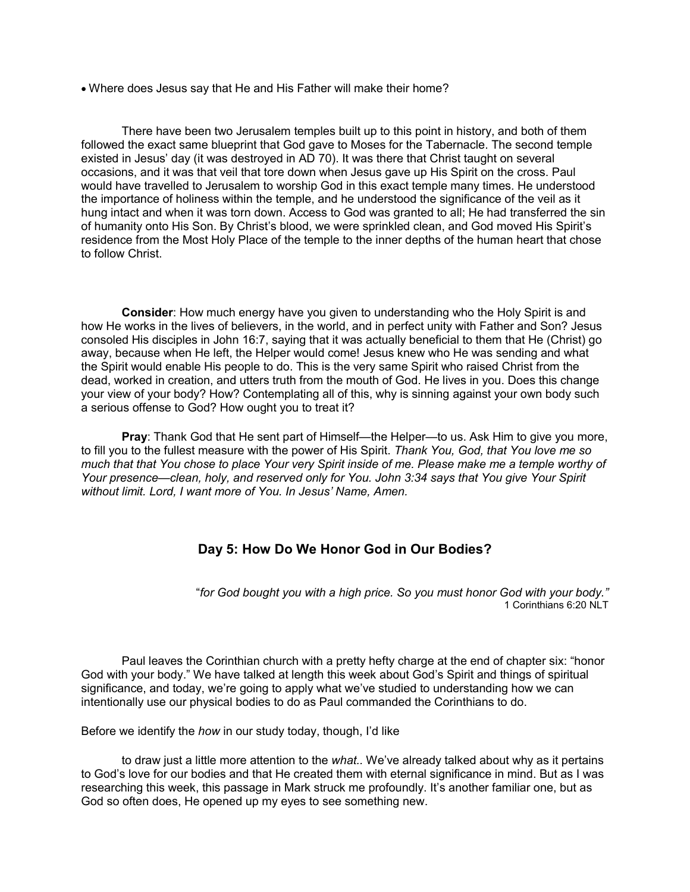• Where does Jesus say that He and His Father will make their home?

There have been two Jerusalem temples built up to this point in history, and both of them followed the exact same blueprint that God gave to Moses for the Tabernacle. The second temple existed in Jesus' day (it was destroyed in AD 70). It was there that Christ taught on several occasions, and it was that veil that tore down when Jesus gave up His Spirit on the cross. Paul would have travelled to Jerusalem to worship God in this exact temple many times. He understood the importance of holiness within the temple, and he understood the significance of the veil as it hung intact and when it was torn down. Access to God was granted to all; He had transferred the sin of humanity onto His Son. By Christ's blood, we were sprinkled clean, and God moved His Spirit's residence from the Most Holy Place of the temple to the inner depths of the human heart that chose to follow Christ.

**Consider**: How much energy have you given to understanding who the Holy Spirit is and how He works in the lives of believers, in the world, and in perfect unity with Father and Son? Jesus consoled His disciples in John 16:7, saying that it was actually beneficial to them that He (Christ) go away, because when He left, the Helper would come! Jesus knew who He was sending and what the Spirit would enable His people to do. This is the very same Spirit who raised Christ from the dead, worked in creation, and utters truth from the mouth of God. He lives in you. Does this change your view of your body? How? Contemplating all of this, why is sinning against your own body such a serious offense to God? How ought you to treat it?

**Pray**: Thank God that He sent part of Himself—the Helper—to us. Ask Him to give you more, to fill you to the fullest measure with the power of His Spirit. *Thank You, God, that You love me so much that that You chose to place Your very Spirit inside of me. Please make me a temple worthy of Your presence—clean, holy, and reserved only for You. John 3:34 says that You give Your Spirit without limit. Lord, I want more of You. In Jesus' Name, Amen.*

## **Day 5: How Do We Honor God in Our Bodies?**

"*for God bought you with a high price. So you must honor God with your body."* 1 Corinthians 6:20 NLT

Paul leaves the Corinthian church with a pretty hefty charge at the end of chapter six: "honor God with your body." We have talked at length this week about God's Spirit and things of spiritual significance, and today, we're going to apply what we've studied to understanding how we can intentionally use our physical bodies to do as Paul commanded the Corinthians to do.

Before we identify the *how* in our study today, though, I'd like

to draw just a little more attention to the *what..* We've already talked about why as it pertains to God's love for our bodies and that He created them with eternal significance in mind. But as I was researching this week, this passage in Mark struck me profoundly. It's another familiar one, but as God so often does, He opened up my eyes to see something new.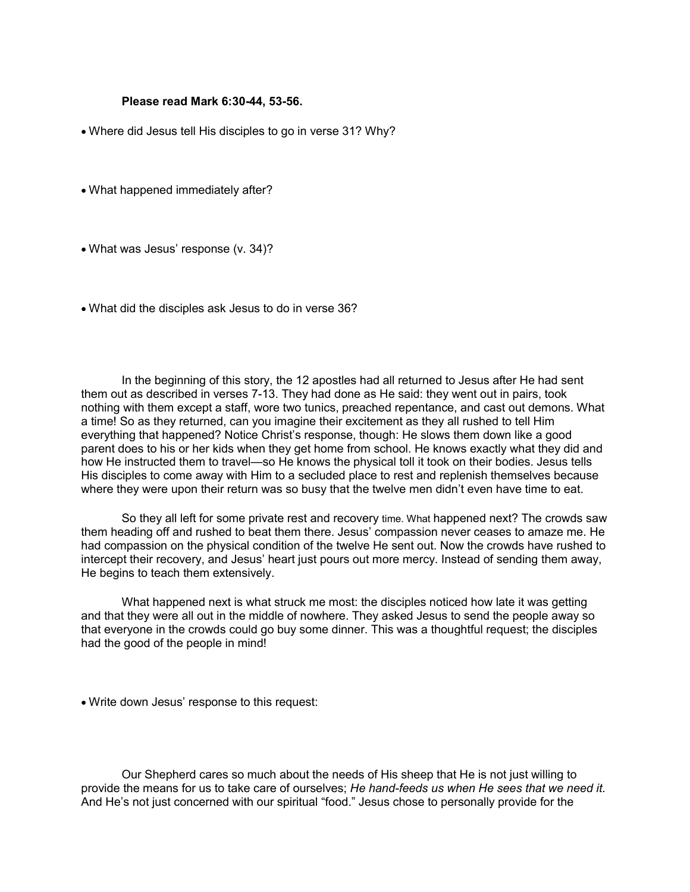#### **Please read Mark 6:30-44, 53-56.**

- Where did Jesus tell His disciples to go in verse 31? Why?
- What happened immediately after?
- What was Jesus' response (v. 34)?
- What did the disciples ask Jesus to do in verse 36?

In the beginning of this story, the 12 apostles had all returned to Jesus after He had sent them out as described in verses 7-13. They had done as He said: they went out in pairs, took nothing with them except a staff, wore two tunics, preached repentance, and cast out demons. What a time! So as they returned, can you imagine their excitement as they all rushed to tell Him everything that happened? Notice Christ's response, though: He slows them down like a good parent does to his or her kids when they get home from school. He knows exactly what they did and how He instructed them to travel—so He knows the physical toll it took on their bodies. Jesus tells His disciples to come away with Him to a secluded place to rest and replenish themselves because where they were upon their return was so busy that the twelve men didn't even have time to eat.

So they all left for some private rest and recovery time. What happened next? The crowds saw them heading off and rushed to beat them there. Jesus' compassion never ceases to amaze me. He had compassion on the physical condition of the twelve He sent out. Now the crowds have rushed to intercept their recovery, and Jesus' heart just pours out more mercy. Instead of sending them away, He begins to teach them extensively.

What happened next is what struck me most: the disciples noticed how late it was getting and that they were all out in the middle of nowhere. They asked Jesus to send the people away so that everyone in the crowds could go buy some dinner. This was a thoughtful request; the disciples had the good of the people in mind!

• Write down Jesus' response to this request:

Our Shepherd cares so much about the needs of His sheep that He is not just willing to provide the means for us to take care of ourselves; *He hand-feeds us when He sees that we need it*. And He's not just concerned with our spiritual "food." Jesus chose to personally provide for the